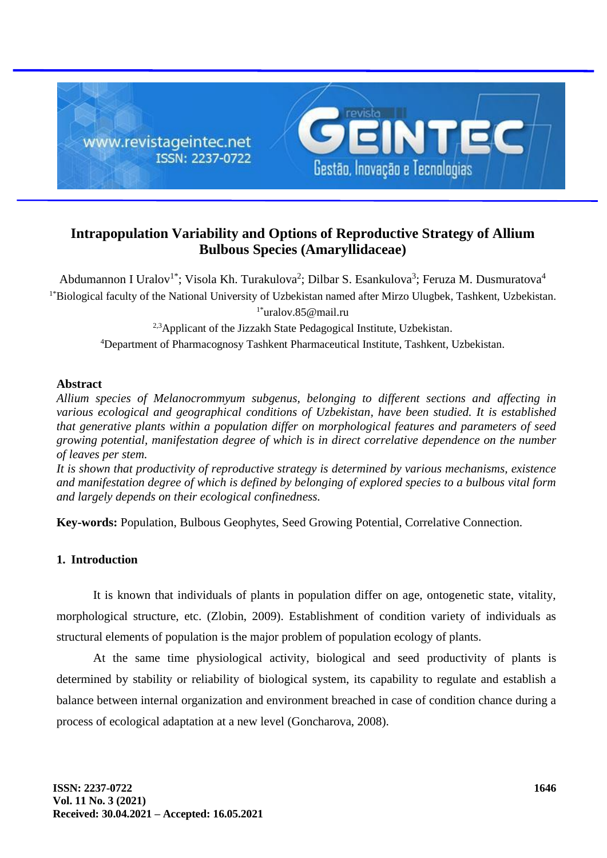

# **Intrapopulation Variability and Options of Reproductive Strategy of Allium Bulbous Species (Amaryllidaceae)**

Abdumannon I Uralov<sup>1\*</sup>; Visola Kh. Turakulova<sup>2</sup>; Dilbar S. Esankulova<sup>3</sup>; Feruza M. Dusmuratova<sup>4</sup> <sup>1\*</sup>Biological faculty of the National University of Uzbekistan named after Mirzo Ulugbek, Tashkent, Uzbekistan. 1\*uralov.85@mail.ru

<sup>2,3</sup>Applicant of the Jizzakh State Pedagogical Institute, Uzbekistan.

<sup>4</sup>Department of Pharmacognosy Tashkent Pharmaceutical Institute, Tashkent, Uzbekistan.

## **Abstract**

*Allium species of Melanocrommyum subgenus, belonging to different sections and affecting in various ecological and geographical conditions of Uzbekistan, have been studied. It is established that generative plants within a population differ on morphological features and parameters of seed growing potential, manifestation degree of which is in direct correlative dependence on the number of leaves per stem.*

*It is shown that productivity of reproductive strategy is determined by various mechanisms, existence and manifestation degree of which is defined by belonging of explored species to a bulbous vital form and largely depends on their ecological confinedness.*

**Key-words:** Population, Bulbous Geophytes, Seed Growing Potential, Correlative Connection.

## **1. Introduction**

It is known that individuals of plants in population differ on age, ontogenetic state, vitality, morphological structure, etc. (Zlobin, 2009). Establishment of condition variety of individuals as structural elements of population is the major problem of population ecology of plants.

At the same time physiological activity, biological and seed productivity of plants is determined by stability or reliability of biological system, its capability to regulate and establish a balance between internal organization and environment breached in case of condition chance during a process of ecological adaptation at a new level (Goncharova, 2008).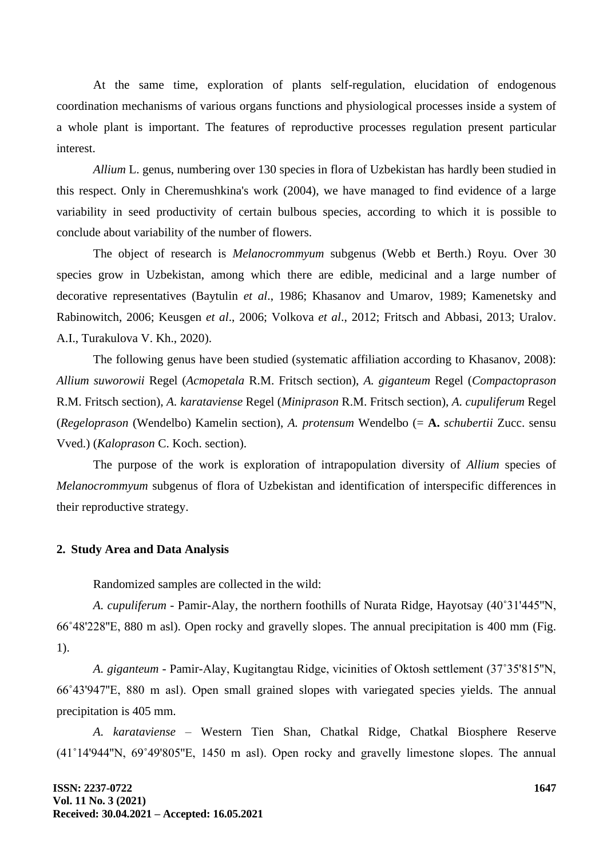At the same time, exploration of plants self-regulation, elucidation of endogenous coordination mechanisms of various organs functions and physiological processes inside a system of a whole plant is important. The features of reproductive processes regulation present particular interest.

*Allium* L. genus, numbering over 130 species in flora of Uzbekistan has hardly been studied in this respect. Only in Cheremushkina's work (2004), we have managed to find evidence of a large variability in seed productivity of certain bulbous species, according to which it is possible to conclude about variability of the number of flowers.

The object of research is *Melanocrommyum* subgenus (Webb et Berth.) Royu. Over 30 species grow in Uzbekistan, among which there are edible, medicinal and a large number of decorative representatives (Baytulin *et al*., 1986; Khasanov and Umarov, 1989; Kamenetsky and Rabinowitch, 2006; Keusgen *et al*., 2006; Volkova *et al*., 2012; Fritsch and Abbasi, 2013; Uralov. A.I., Turakulova V. Kh., 2020).

The following genus have been studied (systematic affiliation according to Khasanov, 2008): *Allium suworowii* Regel (*Acmopetala* R.M. Fritsch section), *A. giganteum* Regel (*Compactoprason*  R.M. Fritsch section), *A. karataviense* Regel (*Miniprason* R.M. Fritsch section), *A. cupuliferum* Regel (*Regeloprason* (Wendelbo) Kamelin section), *A. protensum* Wendelbo (= **A.** *schubertii* Zucc. sensu Vved.) (*Kaloprason* C. Koch. section).

The purpose of the work is exploration of intrapopulation diversity of *Allium* species of *Melanocrommyum* subgenus of flora of Uzbekistan and identification of interspecific differences in their reproductive strategy.

#### **2. Study Area and Data Analysis**

Randomized samples are collected in the wild:

*A. cupuliferum* - Pamir-Alay, the northern foothills of Nurata Ridge, Hayotsay (40˚31'445''N, 66˚48'228''E, 880 m asl). Open rocky and gravelly slopes. The annual precipitation is 400 mm (Fig. 1).

*A. giganteum -* Pamir-Alay, Kugitangtau Ridge, vicinities of Oktosh settlement (37˚35'815''N, 66˚43'947''E, 880 m asl). Open small grained slopes with variegated species yields. The annual precipitation is 405 mm.

*A. karataviense* – Western Tien Shan, Chatkal Ridge, Chatkal Biosphere Reserve (41˚14'944''N, 69˚49'805''E, 1450 m asl). Open rocky and gravelly limestone slopes. The annual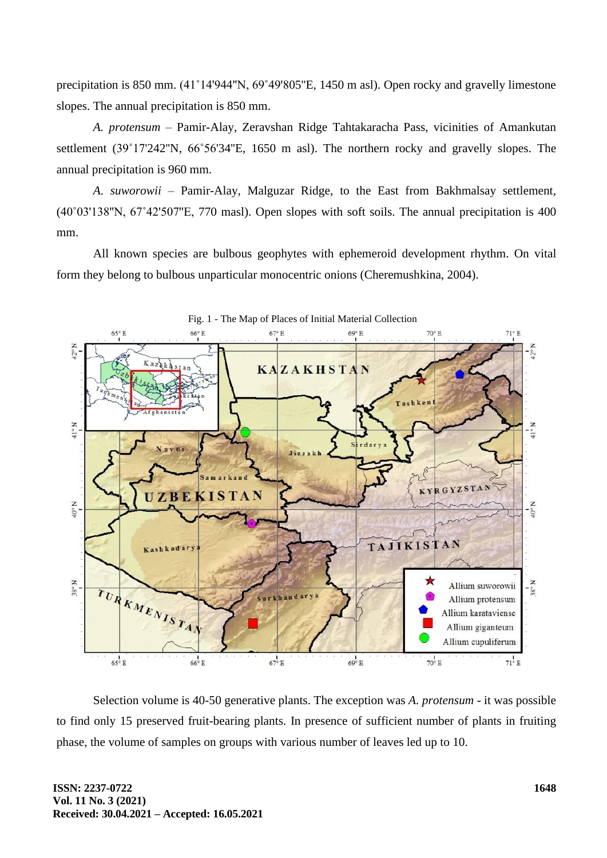precipitation is 850 mm. (41˚14'944''N, 69˚49'805''E, 1450 m asl). Open rocky and gravelly limestone slopes. The annual precipitation is 850 mm.

*A. protensum –* Pamir-Alay, Zeravshan Ridge Tahtakaracha Pass, vicinities of Amankutan settlement (39˚17'242''N, 66˚56'34''E, 1650 m asl). The northern rocky and gravelly slopes. The annual precipitation is 960 mm.

*A. suworowii –* Pamir-Alay, Malguzar Ridge, to the East from Bakhmalsay settlement, (40˚03'138''N, 67˚42'507''E, 770 masl). Open slopes with soft soils. The annual precipitation is 400 mm.

All known species are bulbous geophytes with ephemeroid development rhythm. On vital form they belong to bulbous unparticular monocentric onions (Cheremushkina, 2004).



Selection volume is 40-50 generative plants. The exception was *A. protensum* - it was possible to find only 15 preserved fruit-bearing plants. In presence of sufficient number of plants in fruiting phase, the volume of samples on groups with various number of leaves led up to 10.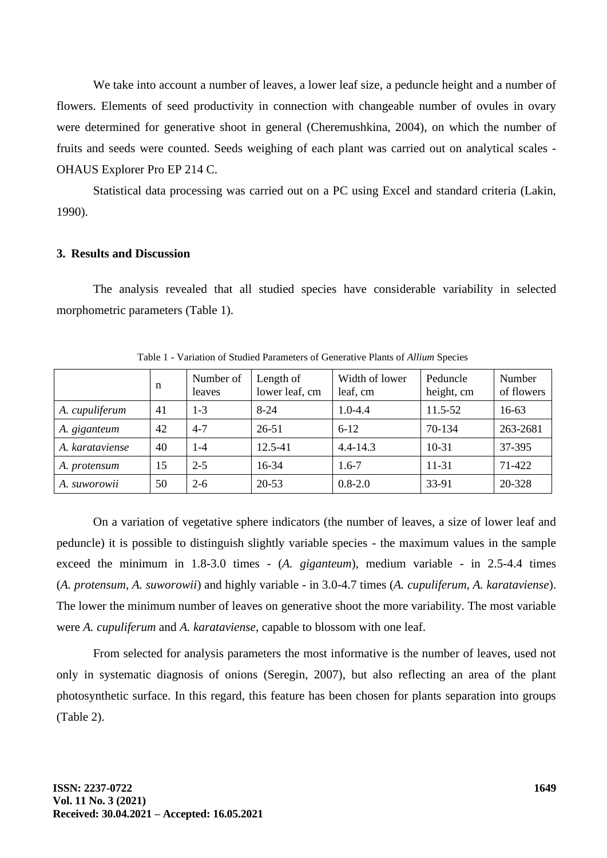We take into account a number of leaves, a lower leaf size, a peduncle height and a number of flowers. Elements of seed productivity in connection with changeable number of ovules in ovary were determined for generative shoot in general (Cheremushkina, 2004), on which the number of fruits and seeds were counted. Seeds weighing of each plant was carried out on analytical scales - OHAUS Explorer Pro EP 214 C.

Statistical data processing was carried out on a PC using Excel and standard criteria (Lakin, 1990).

### **3. Results and Discussion**

The analysis revealed that all studied species have considerable variability in selected morphometric parameters (Table 1).

|                     | n  | Number of<br>leaves | Length of<br>lower leaf, cm | Width of lower<br>leaf, cm | Peduncle<br>height, cm | Number<br>of flowers |
|---------------------|----|---------------------|-----------------------------|----------------------------|------------------------|----------------------|
| A. cupuliferum      | 41 | $1 - 3$             | $8 - 24$                    | $1.0 - 4.4$                | 11.5-52                | 16-63                |
| A. giganteum        | 42 | $4 - 7$             | $26 - 51$                   | $6 - 12$                   | 70-134                 | 263-2681             |
| A. karataviense     | 40 | $1 - 4$             | 12.5-41                     | $4.4 - 14.3$               | $10-31$                | 37-395               |
| A. <i>protensum</i> | 15 | $2 - 5$             | 16-34                       | $1.6 - 7$                  | 11-31                  | 71-422               |
| A. suworowii        | 50 | $2 - 6$             | $20 - 53$                   | $0.8 - 2.0$                | 33-91                  | 20-328               |

Table 1 - Variation of Studied Parameters of Generative Plants of *Allium* Species

On a variation of vegetative sphere indicators (the number of leaves, a size of lower leaf and peduncle) it is possible to distinguish slightly variable species - the maximum values in the sample exceed the minimum in 1.8-3.0 times - (*A. giganteum*), medium variable - in 2.5-4.4 times (*A. protensum, A. suworowii*) and highly variable - in 3.0-4.7 times (*A. cupuliferum, A. karataviense*). The lower the minimum number of leaves on generative shoot the more variability. The most variable were *A. cupuliferum* and *A. karataviense*, capable to blossom with one leaf.

From selected for analysis parameters the most informative is the number of leaves, used not only in systematic diagnosis of onions (Seregin, 2007), but also reflecting an area of the plant photosynthetic surface. In this regard, this feature has been chosen for plants separation into groups (Table 2).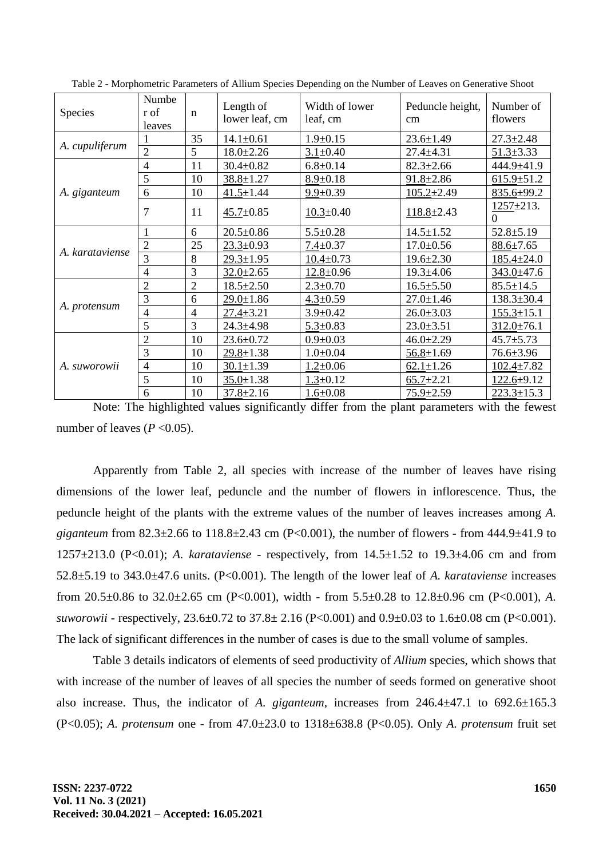| Species         | Numbe<br>r of<br>leaves | $\mathbf n$    | Length of<br>lower leaf, cm | Width of lower<br>leaf, cm | Peduncle height,<br>cm | Number of<br>flowers         |
|-----------------|-------------------------|----------------|-----------------------------|----------------------------|------------------------|------------------------------|
| A. cupuliferum  |                         | 35             | $14.1 \pm 0.61$             | $1.9 \pm 0.15$             | $23.6 \pm 1.49$        | $27.3 \pm 2.48$              |
|                 | $\overline{2}$          | 5              | $18.0 \pm 2.26$             | $3.1 \pm 0.40$             | $27.4 \pm 4.31$        | $51.3 \pm 3.33$              |
| A. giganteum    | $\overline{4}$          | 11             | $30.4 \pm 0.82$             | $6.8 + 0.14$               | $82.3 \pm 2.66$        | 444.9±41.9                   |
|                 | 5                       | 10             | $38.8 \pm 1.27$             | $8.9 \pm 0.18$             | $91.8 \pm 2.86$        | $615.9 + 51.2$               |
|                 | 6                       | 10             | $41.5 \pm 1.44$             | $9.9 \pm 0.39$             | $105.2 \pm 2.49$       | 835.6±99.2                   |
|                 | 7                       | 11             | $45.7 \pm 0.85$             | $10.3 \pm 0.40$            | $118.8 \pm 2.43$       | $1257 \pm 213$ .<br>$\Omega$ |
|                 | 1                       | 6              | $20.5 \pm 0.86$             | $5.5 \pm 0.28$             | $14.5 \pm 1.52$        | $52.8 \pm 5.19$              |
| A. karataviense | $\overline{2}$          | 25             | $23.3 \pm 0.93$             | $7.4 \pm 0.37$             | $17.0 \pm 0.56$        | $88.6 \pm 7.65$              |
|                 | $\overline{3}$          | 8              | $29.3 \pm 1.95$             | $10.4 \pm 0.73$            | $19.6 \pm 2.30$        | $185.4 \pm 24.0$             |
|                 | $\overline{4}$          | 3              | $32.0 \pm 2.65$             | $12.8 \pm 0.96$            | $19.3 \pm 4.06$        | $343.0 \pm 47.6$             |
|                 | $\overline{2}$          | $\overline{2}$ | $18.5 \pm 2.50$             | $2.3 \pm 0.70$             | $16.5 \pm 5.50$        | $85.5 \pm 14.5$              |
| A. protensum    | 3                       | 6              | $29.0 \pm 1.86$             | $4.3 \pm 0.59$             | $27.0 \pm 1.46$        | $138.3 \pm 30.4$             |
|                 | 4                       | $\overline{4}$ | $27.4 \pm 3.21$             | $3.9 + 0.42$               | $26.0 \pm 3.03$        | $155.3 \pm 15.1$             |
|                 | 5                       | 3              | $24.3 \pm 4.98$             | $5.3 \pm 0.83$             | $23.0 \pm 3.51$        | $312.0 \pm 76.1$             |
| A. suworowii    | $\overline{2}$          | 10             | $23.6 \pm 0.72$             | $0.9 + 0.03$               | $46.0 \pm 2.29$        | $45.7 \pm 5.73$              |
|                 | 3                       | 10             | $29.8 \pm 1.38$             | $1.0 \pm 0.04$             | $56.8 \pm 1.69$        | $76.6 \pm 3.96$              |
|                 | $\overline{4}$          | 10             | $30.1 \pm 1.39$             | $1.2 \pm 0.06$             | $62.1 \pm 1.26$        | $102.4 \pm 7.82$             |
|                 | 5                       | 10             | $35.0 \pm 1.38$             | $1.3 \pm 0.12$             | $65.7 \pm 2.21$        | $122.6 + 9.12$               |
|                 | 6                       | 10             | $37.8 \pm 2.16$             | $1.6 \pm 0.08$             | $75.9 \pm 2.59$        | $223.3 \pm 15.3$             |

Table 2 - Morphometric Parameters of Allium Species Depending on the Number of Leaves on Generative Shoot

Note: The highlighted values significantly differ from the plant parameters with the fewest number of leaves ( $P < 0.05$ ).

Apparently from Table 2, all species with increase of the number of leaves have rising dimensions of the lower leaf, peduncle and the number of flowers in inflorescence. Thus, the peduncle height of the plants with the extreme values of the number of leaves increases among *A. giganteum* from 82.3±2.66 to 118.8±2.43 cm (P<0.001), the number of flowers - from 444.9±41.9 to 1257±213.0 (P<0.01); *A. karataviense* - respectively, from 14.5±1.52 to 19.3±4.06 cm and from 52.8±5.19 to 343.0±47.6 units. (P<0.001). The length of the lower leaf of *A. karataviense* increases from 20.5±0.86 to 32.0±2.65 cm (P<0.001), width - from 5.5±0.28 to 12.8±0.96 cm (P<0.001), *A. suworowii* - respectively, 23.6±0.72 to 37.8± 2.16 (P<0.001) and 0.9±0.03 to 1.6±0.08 cm (P<0.001). The lack of significant differences in the number of cases is due to the small volume of samples.

Table 3 details indicators of elements of seed productivity of *Allium* species, which shows that with increase of the number of leaves of all species the number of seeds formed on generative shoot also increase. Thus, the indicator of *A. giganteum*, increases from 246.4±47.1 to 692.6±165.3 (P<0.05); *A. protensum* one - from 47.0±23.0 to 1318±638.8 (P<0.05). Only *A. protensum* fruit set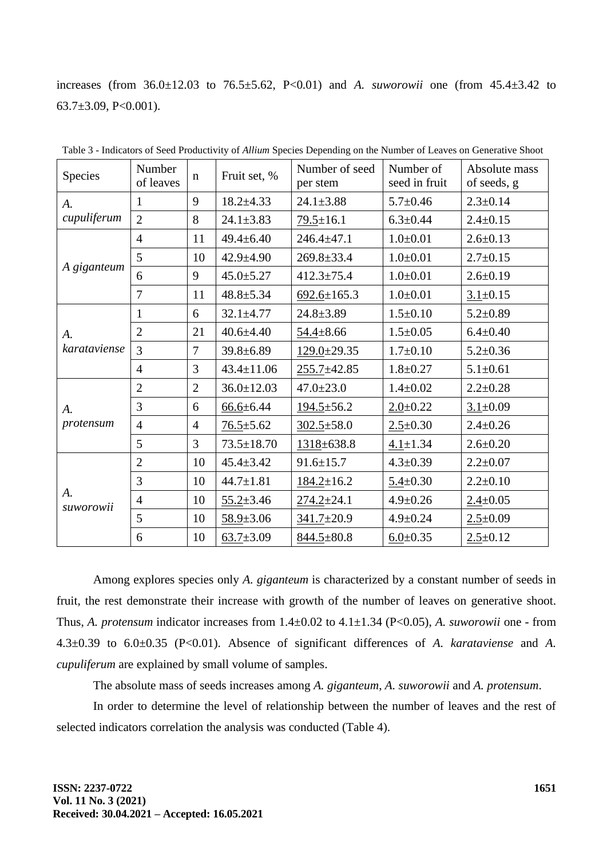increases (from  $36.0 \pm 12.03$  to  $76.5 \pm 5.62$ , P<0.01) and *A. suworowii* one (from  $45.4 \pm 3.42$  to 63.7 $\pm$ 3.09, P<0.001).

| Species                      | Number<br>of leaves | $\mathbf n$    | Fruit set, %     | Number of seed<br>per stem | Number of<br>seed in fruit | Absolute mass<br>of seeds, g |  |
|------------------------------|---------------------|----------------|------------------|----------------------------|----------------------------|------------------------------|--|
| A.<br>cupuliferum            | 1                   | 9              | $18.2 \pm 4.33$  | $24.1 \pm 3.88$            | $5.7 \pm 0.46$             | $2.3 \pm 0.14$               |  |
|                              | $\overline{2}$      | 8              | $24.1 \pm 3.83$  | $79.5 \pm 16.1$            | $6.3 \pm 0.44$             | $2.4 \pm 0.15$               |  |
| A giganteum                  | $\overline{4}$      | 11             | $49.4 \pm 6.40$  | $246.4 \pm 47.1$           | $1.0 + 0.01$               | $2.6 \pm 0.13$               |  |
|                              | 5                   | 10             | $42.9 \pm 4.90$  | $269.8 \pm 33.4$           | $1.0 + 0.01$               | $2.7 \pm 0.15$               |  |
|                              | 6                   | 9              | $45.0 \pm 5.27$  | $412.3 \pm 75.4$           | $1.0 + 0.01$               | $2.6 \pm 0.19$               |  |
|                              | $\overline{7}$      | 11             | $48.8 \pm 5.34$  | $692.6 \pm 165.3$          | $1.0 + 0.01$               | $3.1 \pm 0.15$               |  |
| A.<br>karataviense           | 1                   | 6              | $32.1 \pm 4.77$  | $24.8 \pm 3.89$            | $1.5 \pm 0.10$             | $5.2 \pm 0.89$               |  |
|                              | $\overline{2}$      | 21             | $40.6 \pm 4.40$  | $54.4 \pm 8.66$            | $1.5 \pm 0.05$             | $6.4 \pm 0.40$               |  |
|                              | 3                   | $\overline{7}$ | $39.8 \pm 6.89$  | $129.0 \pm 29.35$          | $1.7 \pm 0.10$             | $5.2 \pm 0.36$               |  |
|                              | $\overline{4}$      | 3              | $43.4 \pm 11.06$ | $255.7 \pm 42.85$          | $1.8 \pm 0.27$             | $5.1 \pm 0.61$               |  |
|                              | $\overline{2}$      | $\overline{2}$ | $36.0 \pm 12.03$ | $47.0 \pm 23.0$            | $1.4 \pm 0.02$             | $2.2 \pm 0.28$               |  |
| A.<br>protensum              | 3                   | 6              | $66.6 \pm 6.44$  | $194.5 \pm 56.2$           | $2.0 \pm 0.22$             | $3.1 \pm 0.09$               |  |
|                              | $\overline{4}$      | $\overline{4}$ | $76.5 \pm 5.62$  | $302.5 \pm 58.0$           | $2.5 \pm 0.30$             | $2.4 \pm 0.26$               |  |
|                              | 5                   | $\overline{3}$ | $73.5 \pm 18.70$ | 1318±638.8                 | $4.1 \pm 1.34$             | $2.6 \pm 0.20$               |  |
| $\mathcal{A}$ .<br>suworowii | $\overline{2}$      | 10             | $45.4 \pm 3.42$  | $91.6 \pm 15.7$            | $4.3 \pm 0.39$             | $2.2 \pm 0.07$               |  |
|                              | 3                   | 10             | $44.7 \pm 1.81$  | $184.2 \pm 16.2$           | $5.4 \pm 0.30$             | $2.2 \pm 0.10$               |  |
|                              | $\overline{4}$      | 10             | $55.2 \pm 3.46$  | $274.2 + 24.1$             | $4.9 \pm 0.26$             | $2.4 \pm 0.05$               |  |
|                              | 5                   | 10             | $58.9 \pm 3.06$  | $341.7 \pm 20.9$           | $4.9 \pm 0.24$             | $2.5 \pm 0.09$               |  |
|                              | 6                   | 10             | $63.7 \pm 3.09$  | 844.5±80.8                 | $6.0 \pm 0.35$             | $2.5 \pm 0.12$               |  |

Table 3 - Indicators of Seed Productivity of *Allium* Species Depending on the Number of Leaves on Generative Shoot

Among explores species only *A. giganteum* is characterized by a constant number of seeds in fruit, the rest demonstrate their increase with growth of the number of leaves on generative shoot. Thus, *A. protensum* indicator increases from 1.4±0.02 to 4.1±1.34 (P<0.05), *A. suworowii* one - from 4.3±0.39 to 6.0±0.35 (P<0.01). Absence of significant differences of *A. karataviense* and *A. cupuliferum* are explained by small volume of samples.

The absolute mass of seeds increases among *A. giganteum*, *A. suworowii* and *A. protensum*.

In order to determine the level of relationship between the number of leaves and the rest of selected indicators correlation the analysis was conducted (Table 4).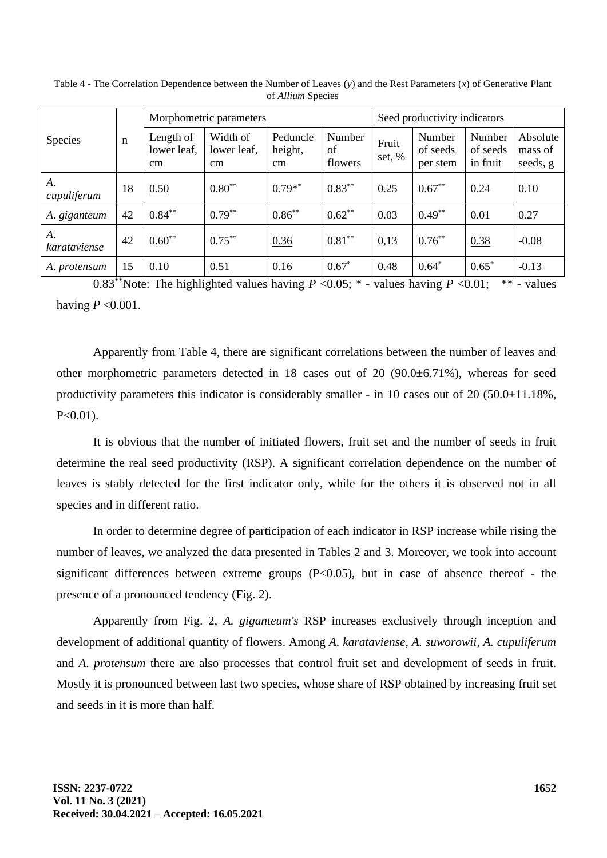|                     | $\mathbf n$ | Morphometric parameters              | Seed productivity indicators        |                           |                         |                   |                                |                                |                                 |
|---------------------|-------------|--------------------------------------|-------------------------------------|---------------------------|-------------------------|-------------------|--------------------------------|--------------------------------|---------------------------------|
| Species             |             | Length of<br>lower leaf,<br>$\rm cm$ | Width of<br>lower leaf.<br>$\rm cm$ | Peduncle<br>height,<br>cm | Number<br>of<br>flowers | Fruit<br>set, $%$ | Number<br>of seeds<br>per stem | Number<br>of seeds<br>in fruit | Absolute<br>mass of<br>seeds, g |
| A.<br>cupuliferum   | 18          | 0.50                                 | $0.80**$                            | $0.79**$                  | $0.83***$               | 0.25              | $0.67**$                       | 0.24                           | 0.10                            |
| A. giganteum        | 42          | $0.84***$                            | $0.79***$                           | $0.86***$                 | $0.62**$                | 0.03              | $0.49**$                       | 0.01                           | 0.27                            |
| A.<br>karataviense  | 42          | $0.60**$                             | $0.75***$                           | 0.36                      | $0.81**$                | 0,13              | $0.76***$                      | 0.38                           | $-0.08$                         |
| A. <i>protensum</i> | 15          | 0.10                                 | 0.51                                | 0.16                      | $0.67*$                 | 0.48              | $0.64*$                        | $0.65*$                        | $-0.13$                         |

Table 4 - The Correlation Dependence between the Number of Leaves (*y*) and the Rest Parameters (*x*) of Generative Plant of *Allium* Species

0.83<sup>\*\*</sup>Note: The highlighted values having  $P < 0.05$ ; \* - values having  $P < 0.01$ ; \*\* - values having  $P < 0.001$ .

Apparently from Table 4, there are significant correlations between the number of leaves and other morphometric parameters detected in 18 cases out of 20 (90.0±6.71%), whereas for seed productivity parameters this indicator is considerably smaller - in 10 cases out of 20 (50.0±11.18%,  $P<0.01$ ).

It is obvious that the number of initiated flowers, fruit set and the number of seeds in fruit determine the real seed productivity (RSP). A significant correlation dependence on the number of leaves is stably detected for the first indicator only, while for the others it is observed not in all species and in different ratio.

In order to determine degree of participation of each indicator in RSP increase while rising the number of leaves, we analyzed the data presented in Tables 2 and 3. Moreover, we took into account significant differences between extreme groups  $(P<0.05)$ , but in case of absence thereof - the presence of a pronounced tendency (Fig. 2).

Apparently from Fig. 2, *A. giganteum's* RSP increases exclusively through inception and development of additional quantity of flowers. Among *A. karataviense*, *A. suworowii*, *A. cupuliferum*  and *A. protensum* there are also processes that control fruit set and development of seeds in fruit. Mostly it is pronounced between last two species, whose share of RSP obtained by increasing fruit set and seeds in it is more than half.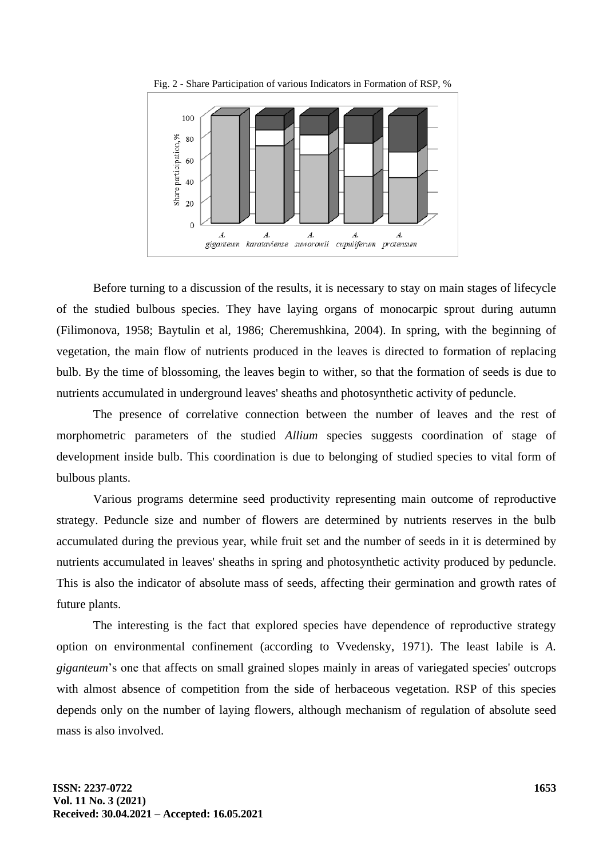

Fig. 2 - Share Participation of various Indicators in Formation of RSP, %

Before turning to a discussion of the results, it is necessary to stay on main stages of lifecycle of the studied bulbous species. They have laying organs of monocarpic sprout during autumn (Filimonova, 1958; Baytulin et al, 1986; Cheremushkina, 2004). In spring, with the beginning of vegetation, the main flow of nutrients produced in the leaves is directed to formation of replacing bulb. By the time of blossoming, the leaves begin to wither, so that the formation of seeds is due to nutrients accumulated in underground leaves' sheaths and photosynthetic activity of peduncle.

The presence of correlative connection between the number of leaves and the rest of morphometric parameters of the studied *Allium* species suggests coordination of stage of development inside bulb. This coordination is due to belonging of studied species to vital form of bulbous plants.

Various programs determine seed productivity representing main outcome of reproductive strategy. Peduncle size and number of flowers are determined by nutrients reserves in the bulb accumulated during the previous year, while fruit set and the number of seeds in it is determined by nutrients accumulated in leaves' sheaths in spring and photosynthetic activity produced by peduncle. This is also the indicator of absolute mass of seeds, affecting their germination and growth rates of future plants.

The interesting is the fact that explored species have dependence of reproductive strategy option on environmental confinement (according to Vvedensky, 1971). The least labile is *A. giganteum*'s one that affects on small grained slopes mainly in areas of variegated species' outcrops with almost absence of competition from the side of herbaceous vegetation. RSP of this species depends only on the number of laying flowers, although mechanism of regulation of absolute seed mass is also involved.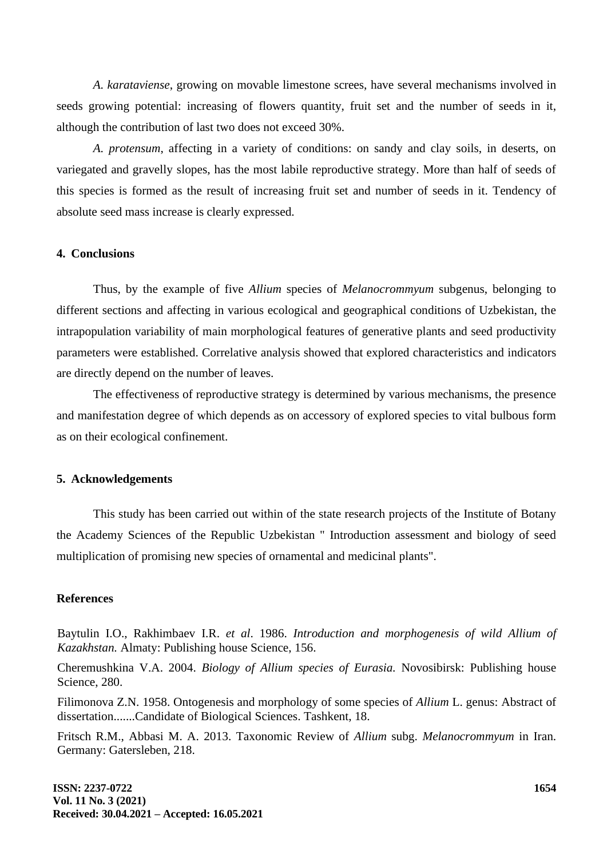*A. karataviense*, growing on movable limestone screes, have several mechanisms involved in seeds growing potential: increasing of flowers quantity, fruit set and the number of seeds in it, although the contribution of last two does not exceed 30%.

*A. protensum*, affecting in a variety of conditions: on sandy and clay soils, in deserts, on variegated and gravelly slopes, has the most labile reproductive strategy. More than half of seeds of this species is formed as the result of increasing fruit set and number of seeds in it. Tendency of absolute seed mass increase is clearly expressed.

#### **4. Conclusions**

Thus, by the example of five *Allium* species of *Melanocrommyum* subgenus, belonging to different sections and affecting in various ecological and geographical conditions of Uzbekistan, the intrapopulation variability of main morphological features of generative plants and seed productivity parameters were established. Correlative analysis showed that explored characteristics and indicators are directly depend on the number of leaves.

The effectiveness of reproductive strategy is determined by various mechanisms, the presence and manifestation degree of which depends as on accessory of explored species to vital bulbous form as on their ecological confinement.

#### **5. Acknowledgements**

This study has been carried out within of the state research projects of the Institute of Botany the Academy Sciences of the Republic Uzbekistan " Introduction assessment and biology of seed multiplication of promising new species of ornamental and medicinal plants".

### **References**

Baytulin I.O., Rakhimbaev I.R. *et al*. 1986. *Introduction and morphogenesis of wild Allium of Kazakhstan.* Almaty: Publishing house Science, 156.

Cheremushkina V.A. 2004. *Biology of Allium species of Eurasia.* Novosibirsk: Publishing house Science, 280.

Filimonova Z.N. 1958. Ontogenesis and morphology of some species of *Allium* L. genus: Abstract of dissertation.......Candidate of Biological Sciences. Tashkent, 18.

Fritsch R.M., Abbasi M. A. 2013. Taxonomic Review of *Allium* subg. *Melanocrommyum* in Iran. Germany: Gatersleben, 218.